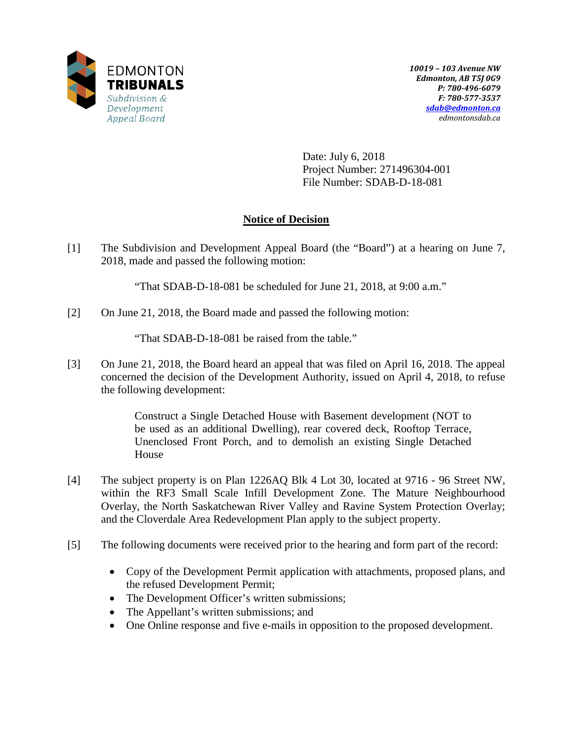

Date: July 6, 2018 Project Number: 271496304-001 File Number: SDAB-D-18-081

# **Notice of Decision**

[1] The Subdivision and Development Appeal Board (the "Board") at a hearing on June 7, 2018, made and passed the following motion:

"That SDAB-D-18-081 be scheduled for June 21, 2018, at 9:00 a.m."

[2] On June 21, 2018, the Board made and passed the following motion:

"That SDAB-D-18-081 be raised from the table."

[3] On June 21, 2018, the Board heard an appeal that was filed on April 16, 2018. The appeal concerned the decision of the Development Authority, issued on April 4, 2018, to refuse the following development:

> Construct a Single Detached House with Basement development (NOT to be used as an additional Dwelling), rear covered deck, Rooftop Terrace, Unenclosed Front Porch, and to demolish an existing Single Detached House

- [4] The subject property is on Plan 1226AQ Blk 4 Lot 30, located at 9716 96 Street NW, within the RF3 Small Scale Infill Development Zone. The Mature Neighbourhood Overlay, the North Saskatchewan River Valley and Ravine System Protection Overlay; and the Cloverdale Area Redevelopment Plan apply to the subject property.
- [5] The following documents were received prior to the hearing and form part of the record:
	- Copy of the Development Permit application with attachments, proposed plans, and the refused Development Permit;
	- The Development Officer's written submissions;
	- The Appellant's written submissions; and
	- One Online response and five e-mails in opposition to the proposed development.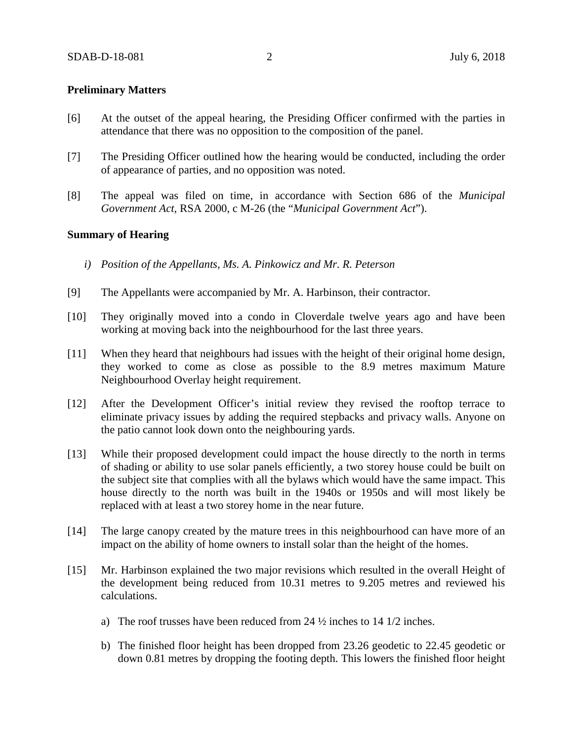## **Preliminary Matters**

- [6] At the outset of the appeal hearing, the Presiding Officer confirmed with the parties in attendance that there was no opposition to the composition of the panel.
- [7] The Presiding Officer outlined how the hearing would be conducted, including the order of appearance of parties, and no opposition was noted.
- [8] The appeal was filed on time, in accordance with Section 686 of the *Municipal Government Act*, RSA 2000, c M-26 (the "*Municipal Government Act*").

### **Summary of Hearing**

- *i) Position of the Appellants, Ms. A. Pinkowicz and Mr. R. Peterson*
- [9] The Appellants were accompanied by Mr. A. Harbinson, their contractor.
- [10] They originally moved into a condo in Cloverdale twelve years ago and have been working at moving back into the neighbourhood for the last three years.
- [11] When they heard that neighbours had issues with the height of their original home design, they worked to come as close as possible to the 8.9 metres maximum Mature Neighbourhood Overlay height requirement.
- [12] After the Development Officer's initial review they revised the rooftop terrace to eliminate privacy issues by adding the required stepbacks and privacy walls. Anyone on the patio cannot look down onto the neighbouring yards.
- [13] While their proposed development could impact the house directly to the north in terms of shading or ability to use solar panels efficiently, a two storey house could be built on the subject site that complies with all the bylaws which would have the same impact. This house directly to the north was built in the 1940s or 1950s and will most likely be replaced with at least a two storey home in the near future.
- [14] The large canopy created by the mature trees in this neighbourhood can have more of an impact on the ability of home owners to install solar than the height of the homes.
- [15] Mr. Harbinson explained the two major revisions which resulted in the overall Height of the development being reduced from 10.31 metres to 9.205 metres and reviewed his calculations.
	- a) The roof trusses have been reduced from 24 ½ inches to 14 1/2 inches.
	- b) The finished floor height has been dropped from 23.26 geodetic to 22.45 geodetic or down 0.81 metres by dropping the footing depth. This lowers the finished floor height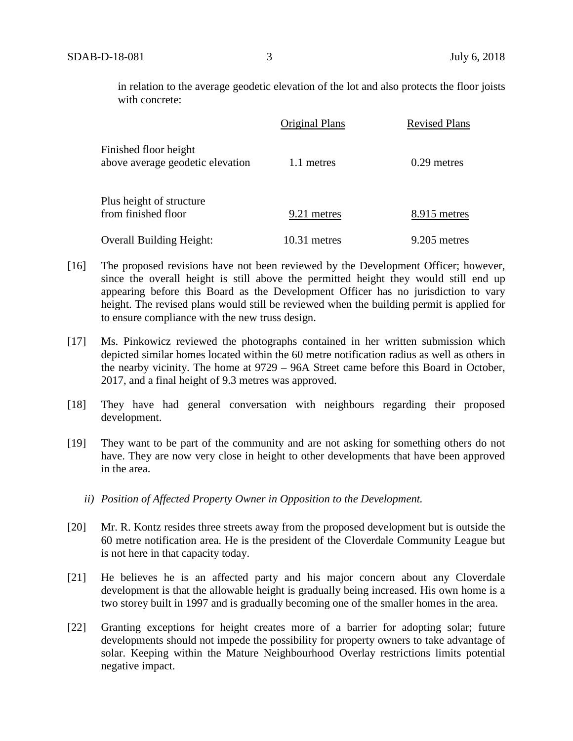in relation to the average geodetic elevation of the lot and also protects the floor joists with concrete:

|                                                           | Original Plans | <b>Revised Plans</b> |
|-----------------------------------------------------------|----------------|----------------------|
| Finished floor height<br>above average geodetic elevation | 1.1 metres     | $0.29$ metres        |
| Plus height of structure<br>from finished floor           | 9.21 metres    | 8.915 metres         |
| <b>Overall Building Height:</b>                           | 10.31 metres   | 9.205 metres         |

- [16] The proposed revisions have not been reviewed by the Development Officer; however, since the overall height is still above the permitted height they would still end up appearing before this Board as the Development Officer has no jurisdiction to vary height. The revised plans would still be reviewed when the building permit is applied for to ensure compliance with the new truss design.
- [17] Ms. Pinkowicz reviewed the photographs contained in her written submission which depicted similar homes located within the 60 metre notification radius as well as others in the nearby vicinity. The home at 9729 – 96A Street came before this Board in October, 2017, and a final height of 9.3 metres was approved.
- [18] They have had general conversation with neighbours regarding their proposed development.
- [19] They want to be part of the community and are not asking for something others do not have. They are now very close in height to other developments that have been approved in the area.
	- *ii) Position of Affected Property Owner in Opposition to the Development.*
- [20] Mr. R. Kontz resides three streets away from the proposed development but is outside the 60 metre notification area. He is the president of the Cloverdale Community League but is not here in that capacity today.
- [21] He believes he is an affected party and his major concern about any Cloverdale development is that the allowable height is gradually being increased. His own home is a two storey built in 1997 and is gradually becoming one of the smaller homes in the area.
- [22] Granting exceptions for height creates more of a barrier for adopting solar; future developments should not impede the possibility for property owners to take advantage of solar. Keeping within the Mature Neighbourhood Overlay restrictions limits potential negative impact.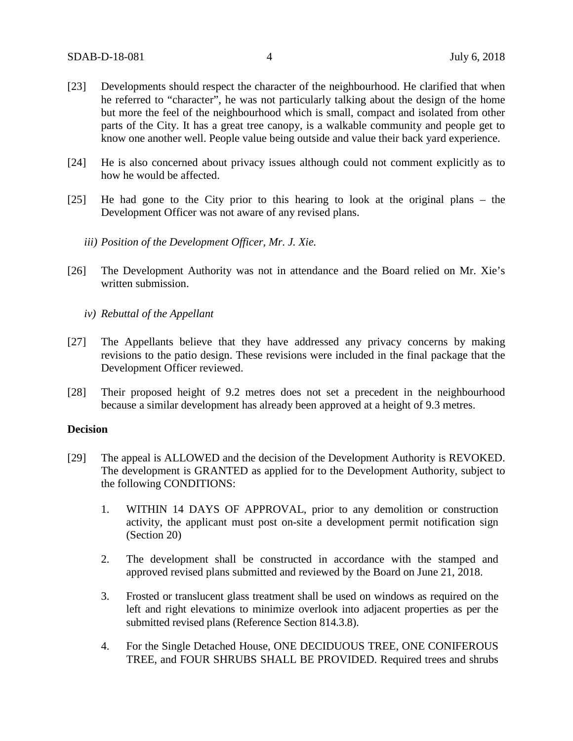- [23] Developments should respect the character of the neighbourhood. He clarified that when he referred to "character", he was not particularly talking about the design of the home but more the feel of the neighbourhood which is small, compact and isolated from other parts of the City. It has a great tree canopy, is a walkable community and people get to know one another well. People value being outside and value their back yard experience.
- [24] He is also concerned about privacy issues although could not comment explicitly as to how he would be affected.
- [25] He had gone to the City prior to this hearing to look at the original plans the Development Officer was not aware of any revised plans.
	- *iii) Position of the Development Officer, Mr. J. Xie.*
- [26] The Development Authority was not in attendance and the Board relied on Mr. Xie's written submission.
	- *iv) Rebuttal of the Appellant*
- [27] The Appellants believe that they have addressed any privacy concerns by making revisions to the patio design. These revisions were included in the final package that the Development Officer reviewed.
- [28] Their proposed height of 9.2 metres does not set a precedent in the neighbourhood because a similar development has already been approved at a height of 9.3 metres.

### **Decision**

- [29] The appeal is ALLOWED and the decision of the Development Authority is REVOKED. The development is GRANTED as applied for to the Development Authority, subject to the following CONDITIONS:
	- 1. WITHIN 14 DAYS OF APPROVAL, prior to any demolition or construction activity, the applicant must post on-site a development permit notification sign (Section 20)
	- 2. The development shall be constructed in accordance with the stamped and approved revised plans submitted and reviewed by the Board on June 21, 2018.
	- 3. Frosted or translucent glass treatment shall be used on windows as required on the left and right elevations to minimize overlook into adjacent properties as per the submitted revised plans (Reference Section 814.3.8).
	- 4. For the Single Detached House, ONE DECIDUOUS TREE, ONE CONIFEROUS TREE, and FOUR SHRUBS SHALL BE PROVIDED. Required trees and shrubs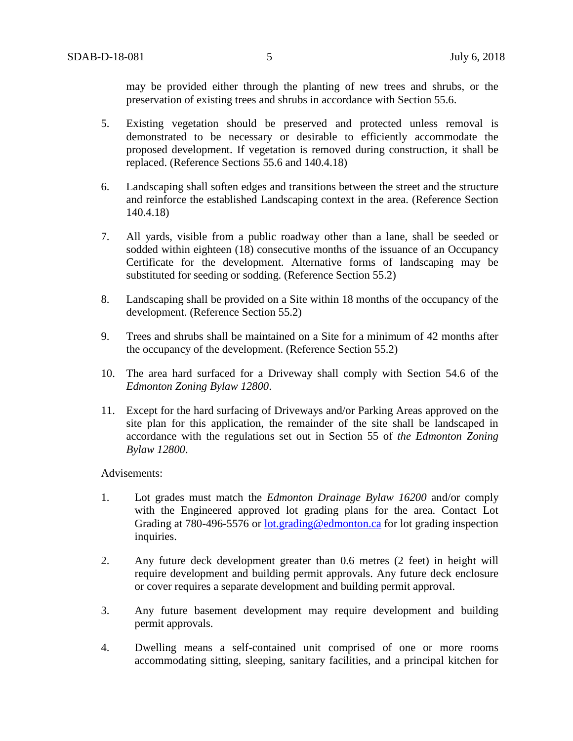may be provided either through the planting of new trees and shrubs, or the preservation of existing trees and shrubs in accordance with Section 55.6.

- 5. Existing vegetation should be preserved and protected unless removal is demonstrated to be necessary or desirable to efficiently accommodate the proposed development. If vegetation is removed during construction, it shall be replaced. (Reference Sections 55.6 and 140.4.18)
- 6. Landscaping shall soften edges and transitions between the street and the structure and reinforce the established Landscaping context in the area. (Reference Section 140.4.18)
- 7. All yards, visible from a public roadway other than a lane, shall be seeded or sodded within eighteen (18) consecutive months of the issuance of an Occupancy Certificate for the development. Alternative forms of landscaping may be substituted for seeding or sodding. (Reference Section 55.2)
- 8. Landscaping shall be provided on a Site within 18 months of the occupancy of the development. (Reference Section 55.2)
- 9. Trees and shrubs shall be maintained on a Site for a minimum of 42 months after the occupancy of the development. (Reference Section 55.2)
- 10. The area hard surfaced for a Driveway shall comply with Section 54.6 of the *Edmonton Zoning Bylaw 12800*.
- 11. Except for the hard surfacing of Driveways and/or Parking Areas approved on the site plan for this application, the remainder of the site shall be landscaped in accordance with the regulations set out in Section 55 of *the Edmonton Zoning Bylaw 12800*.

Advisements:

- 1. Lot grades must match the *Edmonton Drainage Bylaw 16200* and/or comply with the Engineered approved lot grading plans for the area. Contact Lot Grading at 780-496-5576 or [lot.grading@edmonton.ca](mailto:lot.grading@edmonton.ca) for lot grading inspection inquiries.
- 2. Any future deck development greater than 0.6 metres (2 feet) in height will require development and building permit approvals. Any future deck enclosure or cover requires a separate development and building permit approval.
- 3. Any future basement development may require development and building permit approvals.
- 4. Dwelling means a self-contained unit comprised of one or more rooms accommodating sitting, sleeping, sanitary facilities, and a principal kitchen for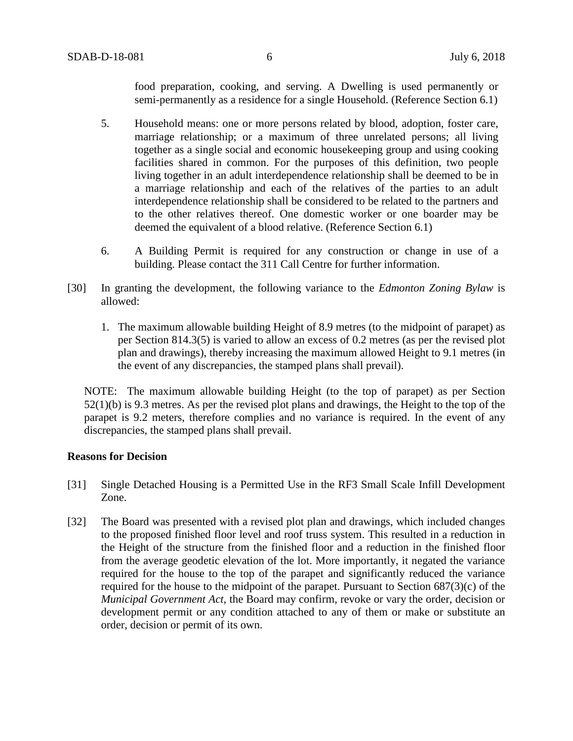food preparation, cooking, and serving. A Dwelling is used permanently or semi-permanently as a residence for a single Household. (Reference Section 6.1)

- 5. Household means: one or more persons related by blood, adoption, foster care, marriage relationship; or a maximum of three unrelated persons; all living together as a single social and economic housekeeping group and using cooking facilities shared in common. For the purposes of this definition, two people living together in an adult interdependence relationship shall be deemed to be in a marriage relationship and each of the relatives of the parties to an adult interdependence relationship shall be considered to be related to the partners and to the other relatives thereof. One domestic worker or one boarder may be deemed the equivalent of a blood relative. (Reference Section 6.1)
- 6. A Building Permit is required for any construction or change in use of a building. Please contact the 311 Call Centre for further information.
- [30] In granting the development, the following variance to the *Edmonton Zoning Bylaw* is allowed:
	- 1. The maximum allowable building Height of 8.9 metres (to the midpoint of parapet) as per Section 814.3(5) is varied to allow an excess of 0.2 metres (as per the revised plot plan and drawings), thereby increasing the maximum allowed Height to 9.1 metres (in the event of any discrepancies, the stamped plans shall prevail).

NOTE: The maximum allowable building Height (to the top of parapet) as per Section 52(1)(b) is 9.3 metres. As per the revised plot plans and drawings, the Height to the top of the parapet is 9.2 meters, therefore complies and no variance is required. In the event of any discrepancies, the stamped plans shall prevail.

### **Reasons for Decision**

- [31] Single Detached Housing is a Permitted Use in the RF3 Small Scale Infill Development Zone.
- [32] The Board was presented with a revised plot plan and drawings, which included changes to the proposed finished floor level and roof truss system. This resulted in a reduction in the Height of the structure from the finished floor and a reduction in the finished floor from the average geodetic elevation of the lot. More importantly, it negated the variance required for the house to the top of the parapet and significantly reduced the variance required for the house to the midpoint of the parapet. Pursuant to Section 687(3)(c) of the *Municipal Government Act*, the Board may confirm, revoke or vary the order, decision or development permit or any condition attached to any of them or make or substitute an order, decision or permit of its own.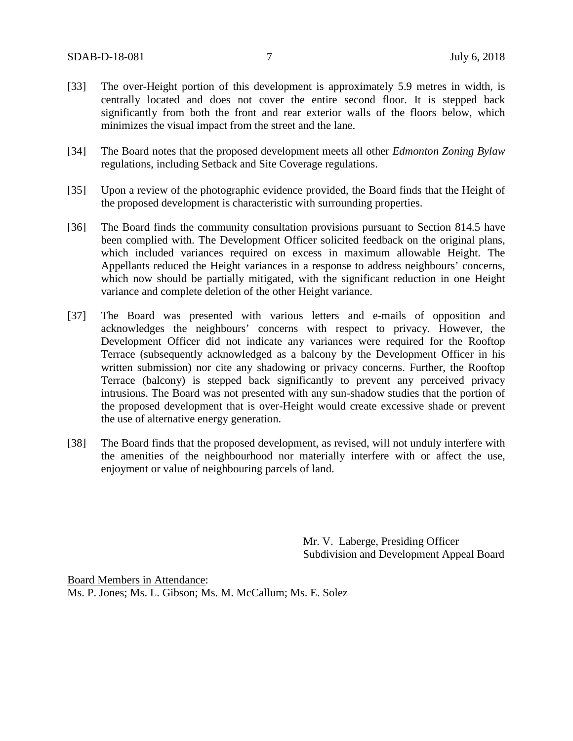- [33] The over-Height portion of this development is approximately 5.9 metres in width, is centrally located and does not cover the entire second floor. It is stepped back significantly from both the front and rear exterior walls of the floors below, which minimizes the visual impact from the street and the lane.
- [34] The Board notes that the proposed development meets all other *Edmonton Zoning Bylaw* regulations, including Setback and Site Coverage regulations.
- [35] Upon a review of the photographic evidence provided, the Board finds that the Height of the proposed development is characteristic with surrounding properties.
- [36] The Board finds the community consultation provisions pursuant to Section 814.5 have been complied with. The Development Officer solicited feedback on the original plans, which included variances required on excess in maximum allowable Height. The Appellants reduced the Height variances in a response to address neighbours' concerns, which now should be partially mitigated, with the significant reduction in one Height variance and complete deletion of the other Height variance.
- [37] The Board was presented with various letters and e-mails of opposition and acknowledges the neighbours' concerns with respect to privacy. However, the Development Officer did not indicate any variances were required for the Rooftop Terrace (subsequently acknowledged as a balcony by the Development Officer in his written submission) nor cite any shadowing or privacy concerns. Further, the Rooftop Terrace (balcony) is stepped back significantly to prevent any perceived privacy intrusions. The Board was not presented with any sun-shadow studies that the portion of the proposed development that is over-Height would create excessive shade or prevent the use of alternative energy generation.
- [38] The Board finds that the proposed development, as revised, will not unduly interfere with the amenities of the neighbourhood nor materially interfere with or affect the use, enjoyment or value of neighbouring parcels of land.

Mr. V. Laberge, Presiding Officer Subdivision and Development Appeal Board

Board Members in Attendance: Ms. P. Jones; Ms. L. Gibson; Ms. M. McCallum; Ms. E. Solez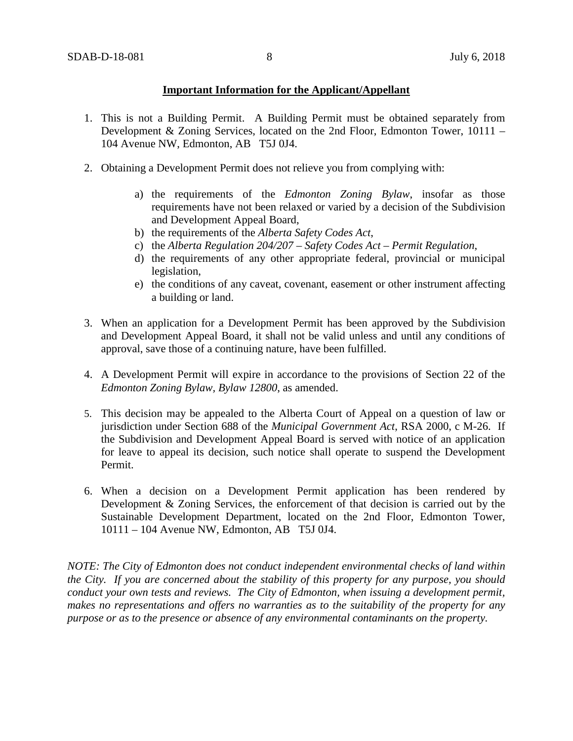# **Important Information for the Applicant/Appellant**

- 1. This is not a Building Permit. A Building Permit must be obtained separately from Development & Zoning Services, located on the 2nd Floor, Edmonton Tower, 10111 – 104 Avenue NW, Edmonton, AB T5J 0J4.
- 2. Obtaining a Development Permit does not relieve you from complying with:
	- a) the requirements of the *Edmonton Zoning Bylaw*, insofar as those requirements have not been relaxed or varied by a decision of the Subdivision and Development Appeal Board,
	- b) the requirements of the *Alberta Safety Codes Act*,
	- c) the *Alberta Regulation 204/207 – Safety Codes Act – Permit Regulation*,
	- d) the requirements of any other appropriate federal, provincial or municipal legislation,
	- e) the conditions of any caveat, covenant, easement or other instrument affecting a building or land.
- 3. When an application for a Development Permit has been approved by the Subdivision and Development Appeal Board, it shall not be valid unless and until any conditions of approval, save those of a continuing nature, have been fulfilled.
- 4. A Development Permit will expire in accordance to the provisions of Section 22 of the *Edmonton Zoning Bylaw, Bylaw 12800*, as amended.
- 5. This decision may be appealed to the Alberta Court of Appeal on a question of law or jurisdiction under Section 688 of the *Municipal Government Act*, RSA 2000, c M-26. If the Subdivision and Development Appeal Board is served with notice of an application for leave to appeal its decision, such notice shall operate to suspend the Development Permit.
- 6. When a decision on a Development Permit application has been rendered by Development & Zoning Services, the enforcement of that decision is carried out by the Sustainable Development Department, located on the 2nd Floor, Edmonton Tower, 10111 – 104 Avenue NW, Edmonton, AB T5J 0J4.

*NOTE: The City of Edmonton does not conduct independent environmental checks of land within the City. If you are concerned about the stability of this property for any purpose, you should conduct your own tests and reviews. The City of Edmonton, when issuing a development permit, makes no representations and offers no warranties as to the suitability of the property for any purpose or as to the presence or absence of any environmental contaminants on the property.*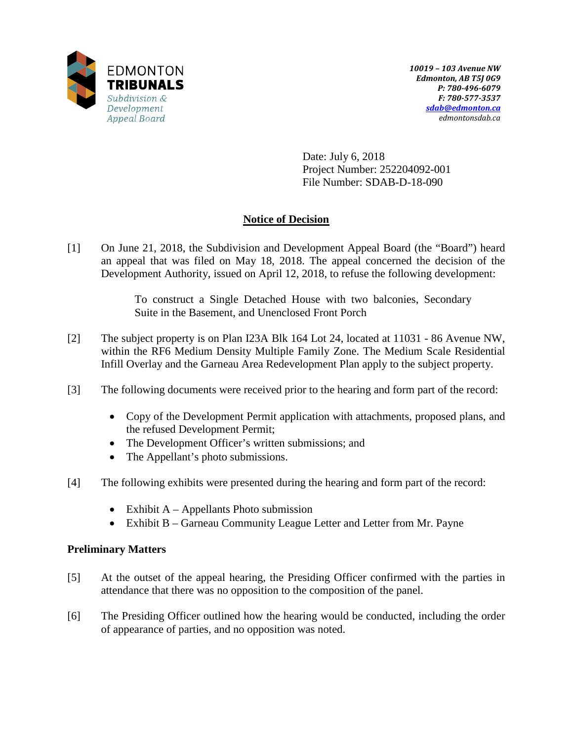

Date: July 6, 2018 Project Number: 252204092-001 File Number: SDAB-D-18-090

# **Notice of Decision**

[1] On June 21, 2018, the Subdivision and Development Appeal Board (the "Board") heard an appeal that was filed on May 18, 2018. The appeal concerned the decision of the Development Authority, issued on April 12, 2018, to refuse the following development:

> To construct a Single Detached House with two balconies, Secondary Suite in the Basement, and Unenclosed Front Porch

- [2] The subject property is on Plan I23A Blk 164 Lot 24, located at 11031 86 Avenue NW, within the RF6 Medium Density Multiple Family Zone. The Medium Scale Residential Infill Overlay and the Garneau Area Redevelopment Plan apply to the subject property.
- [3] The following documents were received prior to the hearing and form part of the record:
	- Copy of the Development Permit application with attachments, proposed plans, and the refused Development Permit;
	- The Development Officer's written submissions; and
	- The Appellant's photo submissions.
- [4] The following exhibits were presented during the hearing and form part of the record:
	- Exhibit  $A Appellants$  Photo submission
	- Exhibit B Garneau Community League Letter and Letter from Mr. Payne

# **Preliminary Matters**

- [5] At the outset of the appeal hearing, the Presiding Officer confirmed with the parties in attendance that there was no opposition to the composition of the panel.
- [6] The Presiding Officer outlined how the hearing would be conducted, including the order of appearance of parties, and no opposition was noted.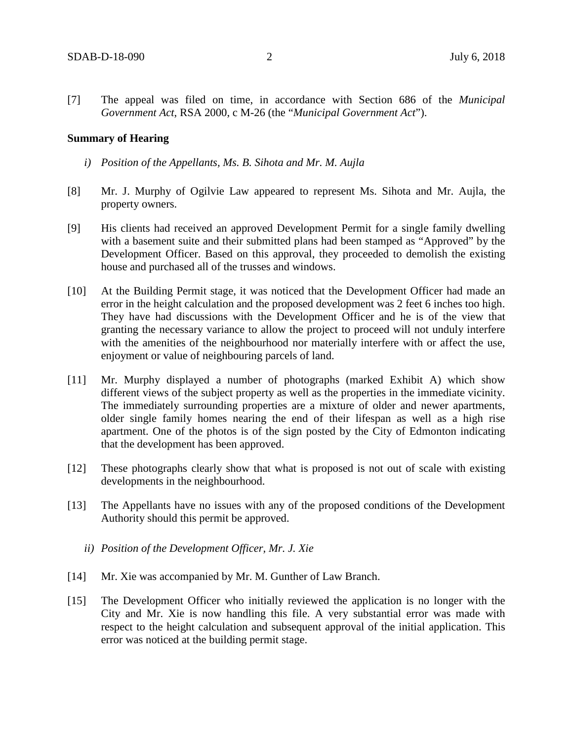[7] The appeal was filed on time, in accordance with Section 686 of the *Municipal Government Act*, RSA 2000, c M-26 (the "*Municipal Government Act*").

#### **Summary of Hearing**

- *i) Position of the Appellants, Ms. B. Sihota and Mr. M. Aujla*
- [8] Mr. J. Murphy of Ogilvie Law appeared to represent Ms. Sihota and Mr. Aujla, the property owners.
- [9] His clients had received an approved Development Permit for a single family dwelling with a basement suite and their submitted plans had been stamped as "Approved" by the Development Officer. Based on this approval, they proceeded to demolish the existing house and purchased all of the trusses and windows.
- [10] At the Building Permit stage, it was noticed that the Development Officer had made an error in the height calculation and the proposed development was 2 feet 6 inches too high. They have had discussions with the Development Officer and he is of the view that granting the necessary variance to allow the project to proceed will not unduly interfere with the amenities of the neighbourhood nor materially interfere with or affect the use, enjoyment or value of neighbouring parcels of land.
- [11] Mr. Murphy displayed a number of photographs (marked Exhibit A) which show different views of the subject property as well as the properties in the immediate vicinity. The immediately surrounding properties are a mixture of older and newer apartments, older single family homes nearing the end of their lifespan as well as a high rise apartment. One of the photos is of the sign posted by the City of Edmonton indicating that the development has been approved.
- [12] These photographs clearly show that what is proposed is not out of scale with existing developments in the neighbourhood.
- [13] The Appellants have no issues with any of the proposed conditions of the Development Authority should this permit be approved.
	- *ii) Position of the Development Officer, Mr. J. Xie*
- [14] Mr. Xie was accompanied by Mr. M. Gunther of Law Branch.
- [15] The Development Officer who initially reviewed the application is no longer with the City and Mr. Xie is now handling this file. A very substantial error was made with respect to the height calculation and subsequent approval of the initial application. This error was noticed at the building permit stage.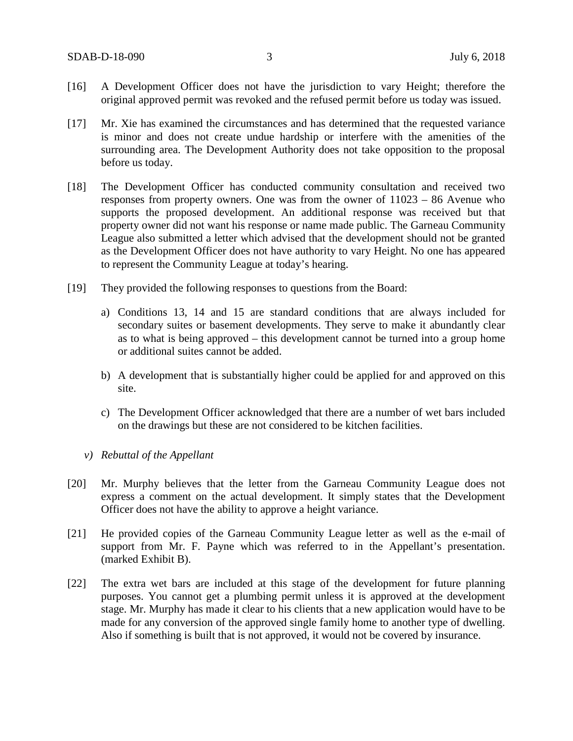- [16] A Development Officer does not have the jurisdiction to vary Height; therefore the original approved permit was revoked and the refused permit before us today was issued.
- [17] Mr. Xie has examined the circumstances and has determined that the requested variance is minor and does not create undue hardship or interfere with the amenities of the surrounding area. The Development Authority does not take opposition to the proposal before us today.
- [18] The Development Officer has conducted community consultation and received two responses from property owners. One was from the owner of 11023 – 86 Avenue who supports the proposed development. An additional response was received but that property owner did not want his response or name made public. The Garneau Community League also submitted a letter which advised that the development should not be granted as the Development Officer does not have authority to vary Height. No one has appeared to represent the Community League at today's hearing.
- [19] They provided the following responses to questions from the Board:
	- a) Conditions 13, 14 and 15 are standard conditions that are always included for secondary suites or basement developments. They serve to make it abundantly clear as to what is being approved – this development cannot be turned into a group home or additional suites cannot be added.
	- b) A development that is substantially higher could be applied for and approved on this site.
	- c) The Development Officer acknowledged that there are a number of wet bars included on the drawings but these are not considered to be kitchen facilities.
	- *v) Rebuttal of the Appellant*
- [20] Mr. Murphy believes that the letter from the Garneau Community League does not express a comment on the actual development. It simply states that the Development Officer does not have the ability to approve a height variance.
- [21] He provided copies of the Garneau Community League letter as well as the e-mail of support from Mr. F. Payne which was referred to in the Appellant's presentation. (marked Exhibit B).
- [22] The extra wet bars are included at this stage of the development for future planning purposes. You cannot get a plumbing permit unless it is approved at the development stage. Mr. Murphy has made it clear to his clients that a new application would have to be made for any conversion of the approved single family home to another type of dwelling. Also if something is built that is not approved, it would not be covered by insurance.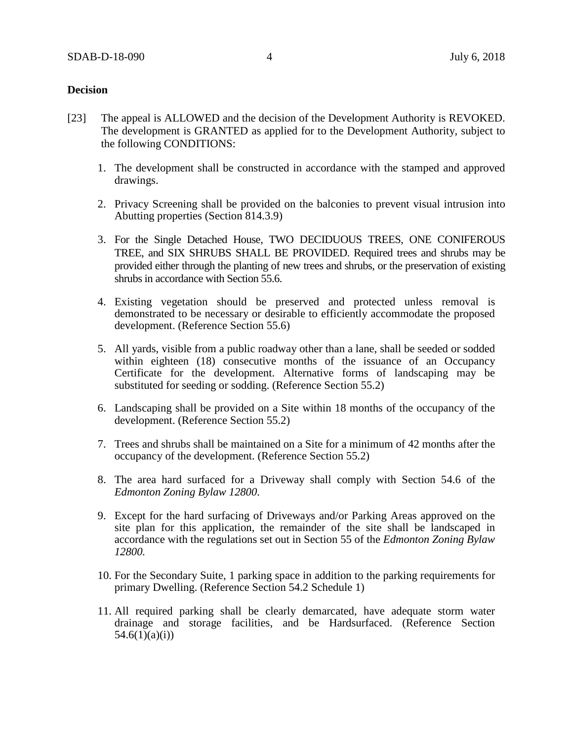### **Decision**

- [23] The appeal is ALLOWED and the decision of the Development Authority is REVOKED. The development is GRANTED as applied for to the Development Authority, subject to the following CONDITIONS:
	- 1. The development shall be constructed in accordance with the stamped and approved drawings.
	- 2. Privacy Screening shall be provided on the balconies to prevent visual intrusion into Abutting properties (Section 814.3.9)
	- 3. For the Single Detached House, TWO DECIDUOUS TREES, ONE CONIFEROUS TREE, and SIX SHRUBS SHALL BE PROVIDED. Required trees and shrubs may be provided either through the planting of new trees and shrubs, or the preservation of existing shrubs in accordance with Section 55.6.
	- 4. Existing vegetation should be preserved and protected unless removal is demonstrated to be necessary or desirable to efficiently accommodate the proposed development. (Reference Section 55.6)
	- 5. All yards, visible from a public roadway other than a lane, shall be seeded or sodded within eighteen (18) consecutive months of the issuance of an Occupancy Certificate for the development. Alternative forms of landscaping may be substituted for seeding or sodding. (Reference Section 55.2)
	- 6. Landscaping shall be provided on a Site within 18 months of the occupancy of the development. (Reference Section 55.2)
	- 7. Trees and shrubs shall be maintained on a Site for a minimum of 42 months after the occupancy of the development. (Reference Section 55.2)
	- 8. The area hard surfaced for a Driveway shall comply with Section 54.6 of the *Edmonton Zoning Bylaw 12800*.
	- 9. Except for the hard surfacing of Driveways and/or Parking Areas approved on the site plan for this application, the remainder of the site shall be landscaped in accordance with the regulations set out in Section 55 of the *Edmonton Zoning Bylaw 12800.*
	- 10. For the Secondary Suite, 1 parking space in addition to the parking requirements for primary Dwelling. (Reference Section 54.2 Schedule 1)
	- 11. All required parking shall be clearly demarcated, have adequate storm water drainage and storage facilities, and be Hardsurfaced. (Reference Section  $54.6(1)(a)(i)$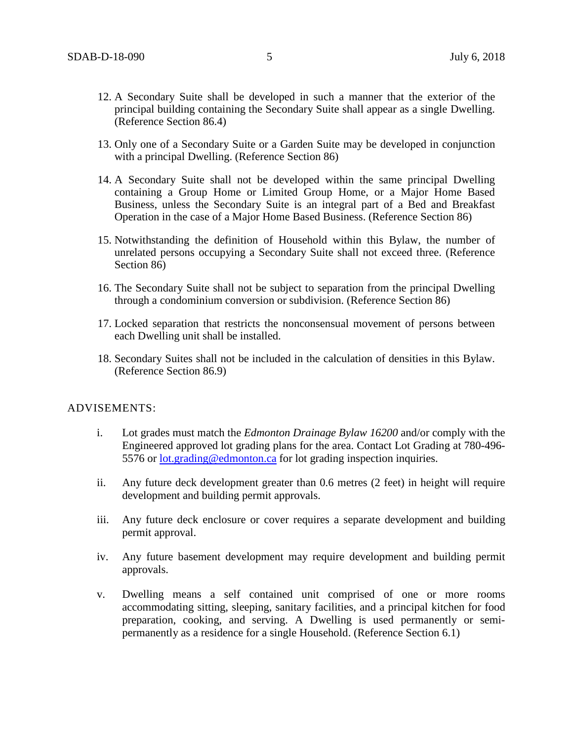- 12. A Secondary Suite shall be developed in such a manner that the exterior of the principal building containing the Secondary Suite shall appear as a single Dwelling. (Reference Section 86.4)
- 13. Only one of a Secondary Suite or a Garden Suite may be developed in conjunction with a principal Dwelling. (Reference Section 86)
- 14. A Secondary Suite shall not be developed within the same principal Dwelling containing a Group Home or Limited Group Home, or a Major Home Based Business, unless the Secondary Suite is an integral part of a Bed and Breakfast Operation in the case of a Major Home Based Business. (Reference Section 86)
- 15. Notwithstanding the definition of Household within this Bylaw, the number of unrelated persons occupying a Secondary Suite shall not exceed three. (Reference Section 86)
- 16. The Secondary Suite shall not be subject to separation from the principal Dwelling through a condominium conversion or subdivision. (Reference Section 86)
- 17. Locked separation that restricts the nonconsensual movement of persons between each Dwelling unit shall be installed.
- 18. Secondary Suites shall not be included in the calculation of densities in this Bylaw. (Reference Section 86.9)

### ADVISEMENTS:

- i. Lot grades must match the *Edmonton Drainage Bylaw 16200* and/or comply with the Engineered approved lot grading plans for the area. Contact Lot Grading at 780-496- 5576 or [lot.grading@edmonton.ca](mailto:lot.grading@edmonton.ca) for lot grading inspection inquiries.
- ii. Any future deck development greater than 0.6 metres (2 feet) in height will require development and building permit approvals.
- iii. Any future deck enclosure or cover requires a separate development and building permit approval.
- iv. Any future basement development may require development and building permit approvals.
- v. Dwelling means a self contained unit comprised of one or more rooms accommodating sitting, sleeping, sanitary facilities, and a principal kitchen for food preparation, cooking, and serving. A Dwelling is used permanently or semipermanently as a residence for a single Household. (Reference Section 6.1)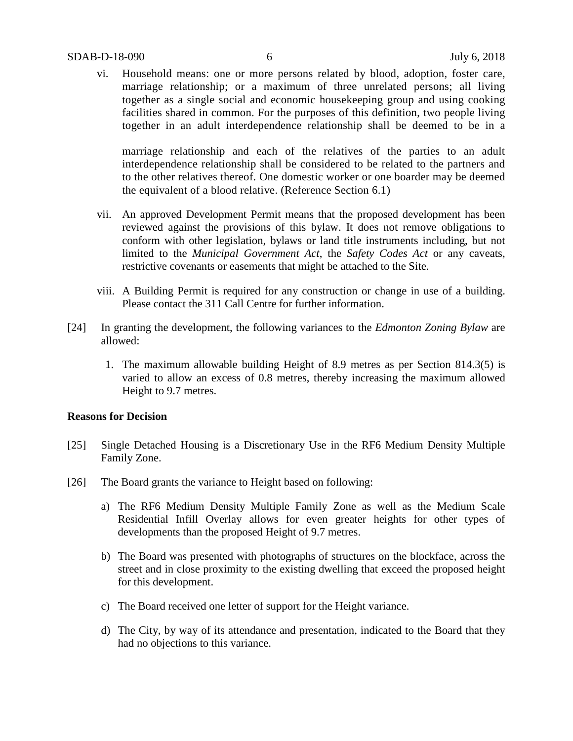### SDAB-D-18-090 6 July 6, 2018

vi. Household means: one or more persons related by blood, adoption, foster care, marriage relationship; or a maximum of three unrelated persons; all living together as a single social and economic housekeeping group and using cooking facilities shared in common. For the purposes of this definition, two people living together in an adult interdependence relationship shall be deemed to be in a

marriage relationship and each of the relatives of the parties to an adult interdependence relationship shall be considered to be related to the partners and to the other relatives thereof. One domestic worker or one boarder may be deemed the equivalent of a blood relative. (Reference Section 6.1)

- vii. An approved Development Permit means that the proposed development has been reviewed against the provisions of this bylaw. It does not remove obligations to conform with other legislation, bylaws or land title instruments including, but not limited to the *Municipal Government Act*, the *Safety Codes Act* or any caveats, restrictive covenants or easements that might be attached to the Site.
- viii. A Building Permit is required for any construction or change in use of a building. Please contact the 311 Call Centre for further information.
- [24] In granting the development, the following variances to the *Edmonton Zoning Bylaw* are allowed:
	- 1. The maximum allowable building Height of 8.9 metres as per Section 814.3(5) is varied to allow an excess of 0.8 metres, thereby increasing the maximum allowed Height to 9.7 metres.

## **Reasons for Decision**

- [25] Single Detached Housing is a Discretionary Use in the RF6 Medium Density Multiple Family Zone.
- [26] The Board grants the variance to Height based on following:
	- a) The RF6 Medium Density Multiple Family Zone as well as the Medium Scale Residential Infill Overlay allows for even greater heights for other types of developments than the proposed Height of 9.7 metres.
	- b) The Board was presented with photographs of structures on the blockface, across the street and in close proximity to the existing dwelling that exceed the proposed height for this development.
	- c) The Board received one letter of support for the Height variance.
	- d) The City, by way of its attendance and presentation, indicated to the Board that they had no objections to this variance.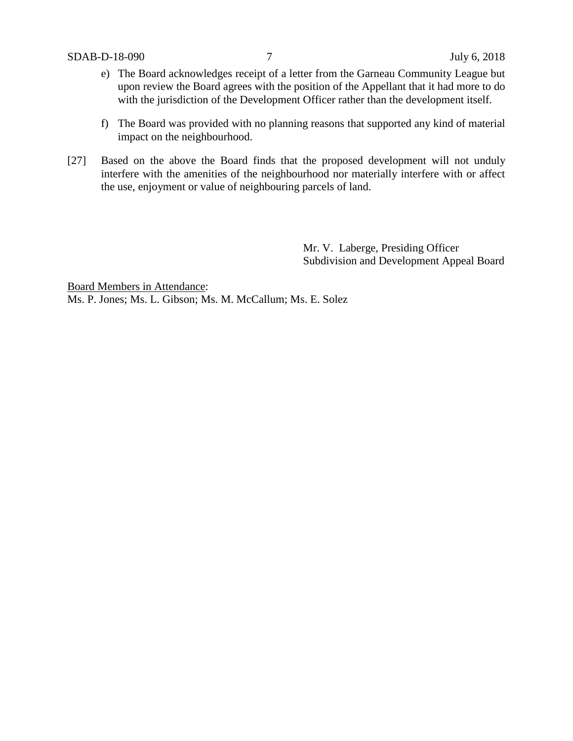- e) The Board acknowledges receipt of a letter from the Garneau Community League but upon review the Board agrees with the position of the Appellant that it had more to do with the jurisdiction of the Development Officer rather than the development itself.
- f) The Board was provided with no planning reasons that supported any kind of material impact on the neighbourhood.
- [27] Based on the above the Board finds that the proposed development will not unduly interfere with the amenities of the neighbourhood nor materially interfere with or affect the use, enjoyment or value of neighbouring parcels of land.

Mr. V. Laberge, Presiding Officer Subdivision and Development Appeal Board

Board Members in Attendance: Ms. P. Jones; Ms. L. Gibson; Ms. M. McCallum; Ms. E. Solez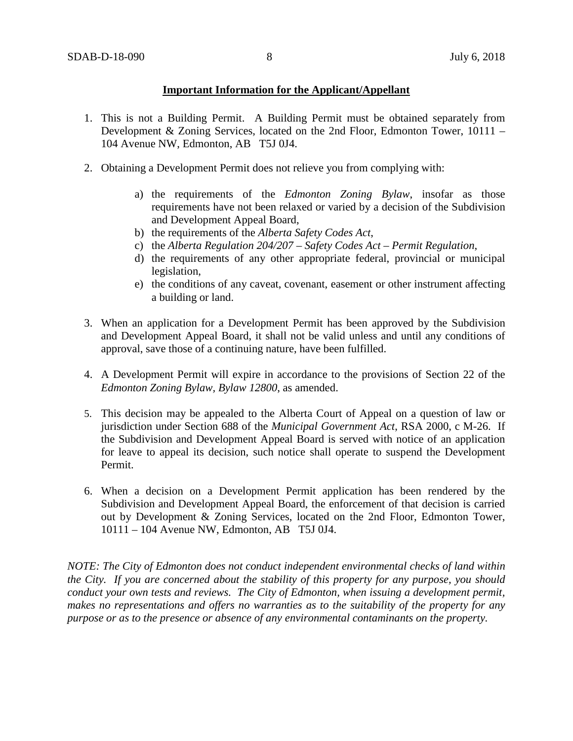## **Important Information for the Applicant/Appellant**

- 1. This is not a Building Permit. A Building Permit must be obtained separately from Development & Zoning Services, located on the 2nd Floor, Edmonton Tower, 10111 – 104 Avenue NW, Edmonton, AB T5J 0J4.
- 2. Obtaining a Development Permit does not relieve you from complying with:
	- a) the requirements of the *Edmonton Zoning Bylaw*, insofar as those requirements have not been relaxed or varied by a decision of the Subdivision and Development Appeal Board,
	- b) the requirements of the *Alberta Safety Codes Act*,
	- c) the *Alberta Regulation 204/207 – Safety Codes Act – Permit Regulation*,
	- d) the requirements of any other appropriate federal, provincial or municipal legislation,
	- e) the conditions of any caveat, covenant, easement or other instrument affecting a building or land.
- 3. When an application for a Development Permit has been approved by the Subdivision and Development Appeal Board, it shall not be valid unless and until any conditions of approval, save those of a continuing nature, have been fulfilled.
- 4. A Development Permit will expire in accordance to the provisions of Section 22 of the *Edmonton Zoning Bylaw, Bylaw 12800*, as amended.
- 5. This decision may be appealed to the Alberta Court of Appeal on a question of law or jurisdiction under Section 688 of the *Municipal Government Act*, RSA 2000, c M-26. If the Subdivision and Development Appeal Board is served with notice of an application for leave to appeal its decision, such notice shall operate to suspend the Development Permit.
- 6. When a decision on a Development Permit application has been rendered by the Subdivision and Development Appeal Board, the enforcement of that decision is carried out by Development & Zoning Services, located on the 2nd Floor, Edmonton Tower, 10111 – 104 Avenue NW, Edmonton, AB T5J 0J4.

*NOTE: The City of Edmonton does not conduct independent environmental checks of land within the City. If you are concerned about the stability of this property for any purpose, you should conduct your own tests and reviews. The City of Edmonton, when issuing a development permit, makes no representations and offers no warranties as to the suitability of the property for any purpose or as to the presence or absence of any environmental contaminants on the property.*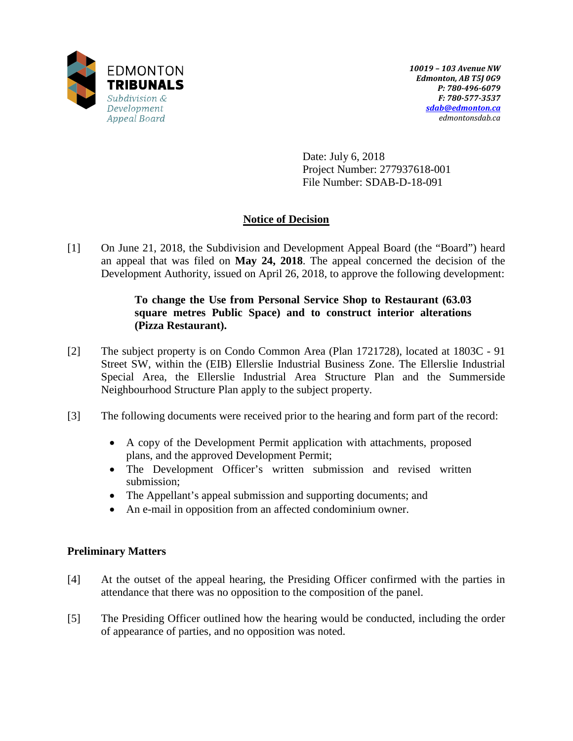

Date: July 6, 2018 Project Number: 277937618-001 File Number: SDAB-D-18-091

# **Notice of Decision**

[1] On June 21, 2018, the Subdivision and Development Appeal Board (the "Board") heard an appeal that was filed on **May 24, 2018**. The appeal concerned the decision of the Development Authority, issued on April 26, 2018, to approve the following development:

# **To change the Use from Personal Service Shop to Restaurant (63.03 square metres Public Space) and to construct interior alterations (Pizza Restaurant).**

- [2] The subject property is on Condo Common Area (Plan 1721728), located at 1803C 91 Street SW, within the (EIB) Ellerslie Industrial Business Zone. The Ellerslie Industrial Special Area, the Ellerslie Industrial Area Structure Plan and the Summerside Neighbourhood Structure Plan apply to the subject property.
- [3] The following documents were received prior to the hearing and form part of the record:
	- A copy of the Development Permit application with attachments, proposed plans, and the approved Development Permit;
	- The Development Officer's written submission and revised written submission;
	- The Appellant's appeal submission and supporting documents; and
	- An e-mail in opposition from an affected condominium owner.

# **Preliminary Matters**

- [4] At the outset of the appeal hearing, the Presiding Officer confirmed with the parties in attendance that there was no opposition to the composition of the panel.
- [5] The Presiding Officer outlined how the hearing would be conducted, including the order of appearance of parties, and no opposition was noted.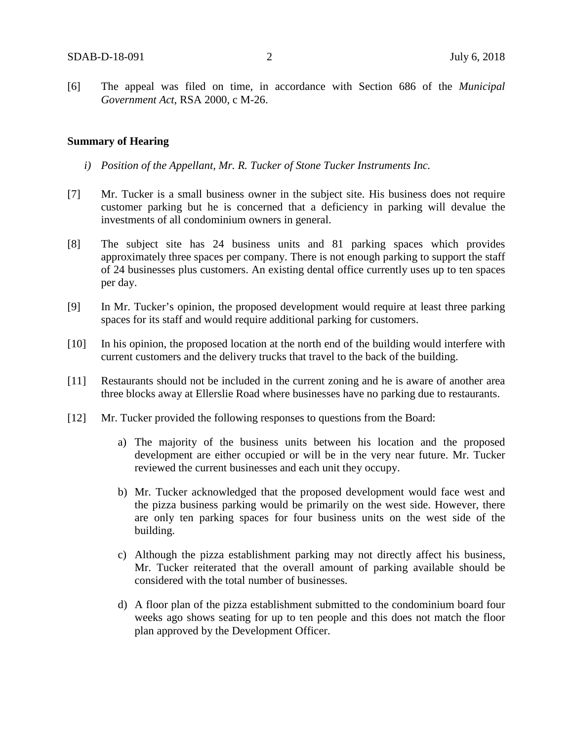[6] The appeal was filed on time, in accordance with Section 686 of the *Municipal Government Act*, RSA 2000, c M-26.

#### **Summary of Hearing**

- *i) Position of the Appellant, Mr. R. Tucker of Stone Tucker Instruments Inc.*
- [7] Mr. Tucker is a small business owner in the subject site. His business does not require customer parking but he is concerned that a deficiency in parking will devalue the investments of all condominium owners in general.
- [8] The subject site has 24 business units and 81 parking spaces which provides approximately three spaces per company. There is not enough parking to support the staff of 24 businesses plus customers. An existing dental office currently uses up to ten spaces per day.
- [9] In Mr. Tucker's opinion, the proposed development would require at least three parking spaces for its staff and would require additional parking for customers.
- [10] In his opinion, the proposed location at the north end of the building would interfere with current customers and the delivery trucks that travel to the back of the building.
- [11] Restaurants should not be included in the current zoning and he is aware of another area three blocks away at Ellerslie Road where businesses have no parking due to restaurants.
- [12] Mr. Tucker provided the following responses to questions from the Board:
	- a) The majority of the business units between his location and the proposed development are either occupied or will be in the very near future. Mr. Tucker reviewed the current businesses and each unit they occupy.
	- b) Mr. Tucker acknowledged that the proposed development would face west and the pizza business parking would be primarily on the west side. However, there are only ten parking spaces for four business units on the west side of the building.
	- c) Although the pizza establishment parking may not directly affect his business, Mr. Tucker reiterated that the overall amount of parking available should be considered with the total number of businesses.
	- d) A floor plan of the pizza establishment submitted to the condominium board four weeks ago shows seating for up to ten people and this does not match the floor plan approved by the Development Officer.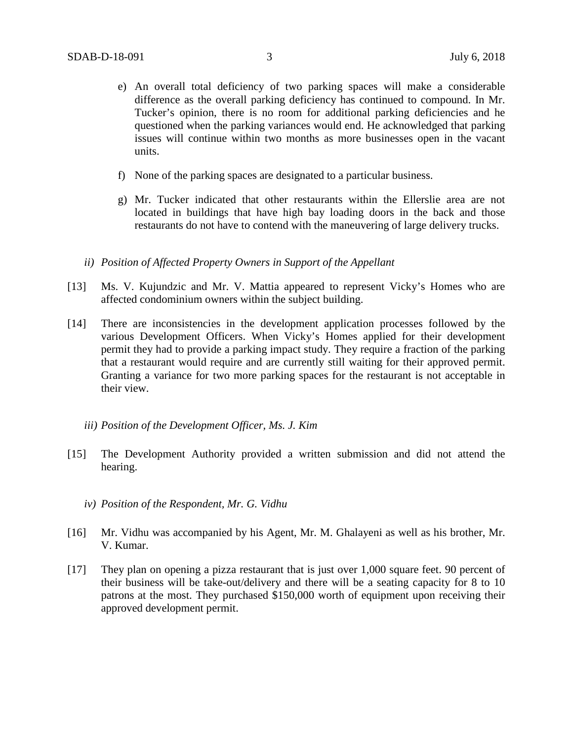- e) An overall total deficiency of two parking spaces will make a considerable difference as the overall parking deficiency has continued to compound. In Mr. Tucker's opinion, there is no room for additional parking deficiencies and he questioned when the parking variances would end. He acknowledged that parking issues will continue within two months as more businesses open in the vacant units.
- f) None of the parking spaces are designated to a particular business.
- g) Mr. Tucker indicated that other restaurants within the Ellerslie area are not located in buildings that have high bay loading doors in the back and those restaurants do not have to contend with the maneuvering of large delivery trucks.
- *ii) Position of Affected Property Owners in Support of the Appellant*
- [13] Ms. V. Kujundzic and Mr. V. Mattia appeared to represent Vicky's Homes who are affected condominium owners within the subject building.
- [14] There are inconsistencies in the development application processes followed by the various Development Officers. When Vicky's Homes applied for their development permit they had to provide a parking impact study. They require a fraction of the parking that a restaurant would require and are currently still waiting for their approved permit. Granting a variance for two more parking spaces for the restaurant is not acceptable in their view.
	- *iii) Position of the Development Officer, Ms. J. Kim*
- [15] The Development Authority provided a written submission and did not attend the hearing.
	- *iv) Position of the Respondent, Mr. G. Vidhu*
- [16] Mr. Vidhu was accompanied by his Agent, Mr. M. Ghalayeni as well as his brother, Mr. V. Kumar.
- [17] They plan on opening a pizza restaurant that is just over 1,000 square feet. 90 percent of their business will be take-out/delivery and there will be a seating capacity for 8 to 10 patrons at the most. They purchased \$150,000 worth of equipment upon receiving their approved development permit.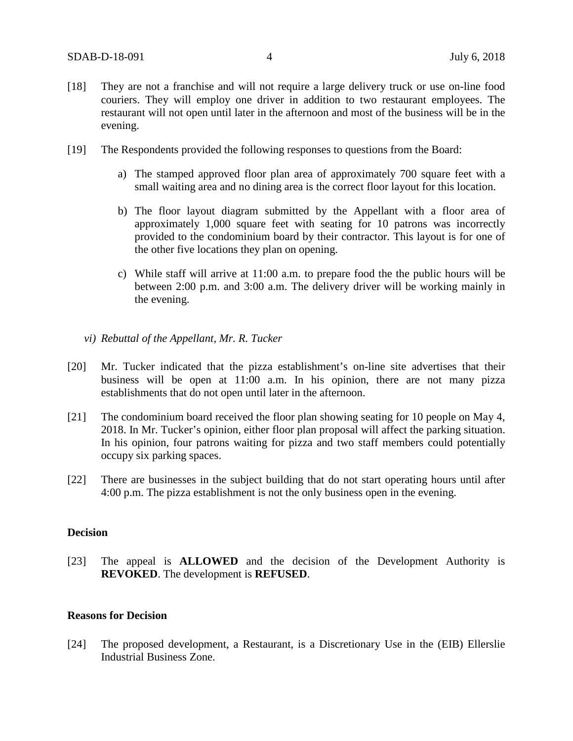- [18] They are not a franchise and will not require a large delivery truck or use on-line food couriers. They will employ one driver in addition to two restaurant employees. The restaurant will not open until later in the afternoon and most of the business will be in the evening.
- [19] The Respondents provided the following responses to questions from the Board:
	- a) The stamped approved floor plan area of approximately 700 square feet with a small waiting area and no dining area is the correct floor layout for this location.
	- b) The floor layout diagram submitted by the Appellant with a floor area of approximately 1,000 square feet with seating for 10 patrons was incorrectly provided to the condominium board by their contractor. This layout is for one of the other five locations they plan on opening.
	- c) While staff will arrive at 11:00 a.m. to prepare food the the public hours will be between 2:00 p.m. and 3:00 a.m. The delivery driver will be working mainly in the evening.
	- *vi) Rebuttal of the Appellant, Mr. R. Tucker*
- [20] Mr. Tucker indicated that the pizza establishment's on-line site advertises that their business will be open at 11:00 a.m. In his opinion, there are not many pizza establishments that do not open until later in the afternoon.
- [21] The condominium board received the floor plan showing seating for 10 people on May 4, 2018. In Mr. Tucker's opinion, either floor plan proposal will affect the parking situation. In his opinion, four patrons waiting for pizza and two staff members could potentially occupy six parking spaces.
- [22] There are businesses in the subject building that do not start operating hours until after 4:00 p.m. The pizza establishment is not the only business open in the evening.

#### **Decision**

[23] The appeal is **ALLOWED** and the decision of the Development Authority is **REVOKED**. The development is **REFUSED**.

#### **Reasons for Decision**

[24] The proposed development, a Restaurant, is a Discretionary Use in the (EIB) Ellerslie Industrial Business Zone.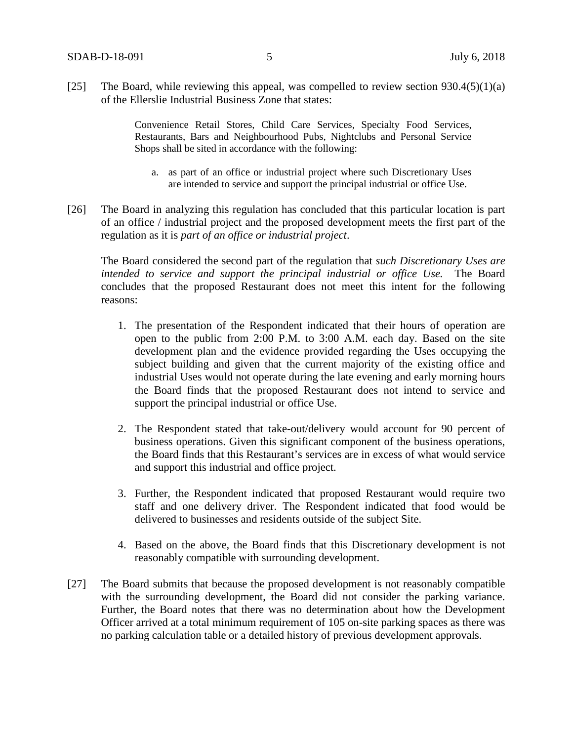[25] The Board, while reviewing this appeal, was compelled to review section  $930.4(5)(1)(a)$ of the Ellerslie Industrial Business Zone that states:

> Convenience Retail Stores, Child Care Services, Specialty Food Services, Restaurants, Bars and Neighbourhood Pubs, Nightclubs and Personal Service Shops shall be sited in accordance with the following:

- a. as part of an office or industrial project where such Discretionary Uses are intended to service and support the principal industrial or office Use.
- [26] The Board in analyzing this regulation has concluded that this particular location is part of an office / industrial project and the proposed development meets the first part of the regulation as it is *part of an office or industrial project*.

The Board considered the second part of the regulation that *such Discretionary Uses are intended to service and support the principal industrial or office Use.* The Board concludes that the proposed Restaurant does not meet this intent for the following reasons:

- 1. The presentation of the Respondent indicated that their hours of operation are open to the public from 2:00 P.M. to 3:00 A.M. each day. Based on the site development plan and the evidence provided regarding the Uses occupying the subject building and given that the current majority of the existing office and industrial Uses would not operate during the late evening and early morning hours the Board finds that the proposed Restaurant does not intend to service and support the principal industrial or office Use.
- 2. The Respondent stated that take-out/delivery would account for 90 percent of business operations. Given this significant component of the business operations, the Board finds that this Restaurant's services are in excess of what would service and support this industrial and office project.
- 3. Further, the Respondent indicated that proposed Restaurant would require two staff and one delivery driver. The Respondent indicated that food would be delivered to businesses and residents outside of the subject Site.
- 4. Based on the above, the Board finds that this Discretionary development is not reasonably compatible with surrounding development.
- [27] The Board submits that because the proposed development is not reasonably compatible with the surrounding development, the Board did not consider the parking variance. Further, the Board notes that there was no determination about how the Development Officer arrived at a total minimum requirement of 105 on-site parking spaces as there was no parking calculation table or a detailed history of previous development approvals.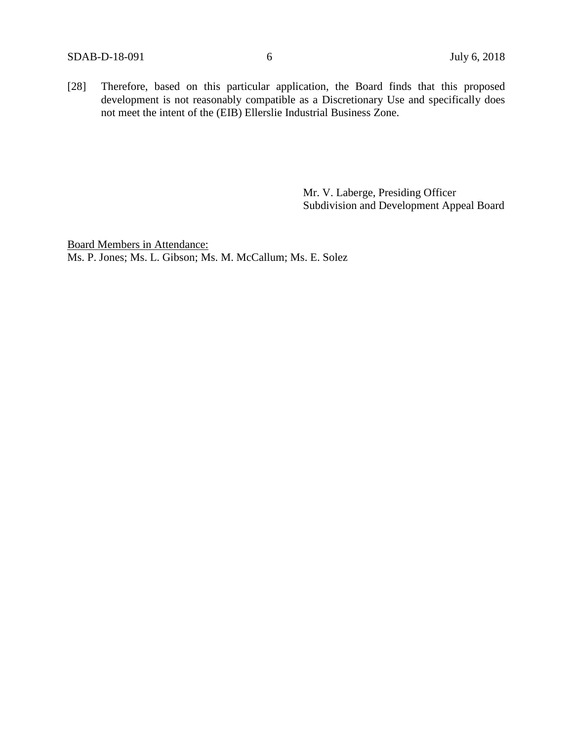[28] Therefore, based on this particular application, the Board finds that this proposed development is not reasonably compatible as a Discretionary Use and specifically does not meet the intent of the (EIB) Ellerslie Industrial Business Zone.

> Mr. V. Laberge, Presiding Officer Subdivision and Development Appeal Board

Board Members in Attendance: Ms. P. Jones; Ms. L. Gibson; Ms. M. McCallum; Ms. E. Solez